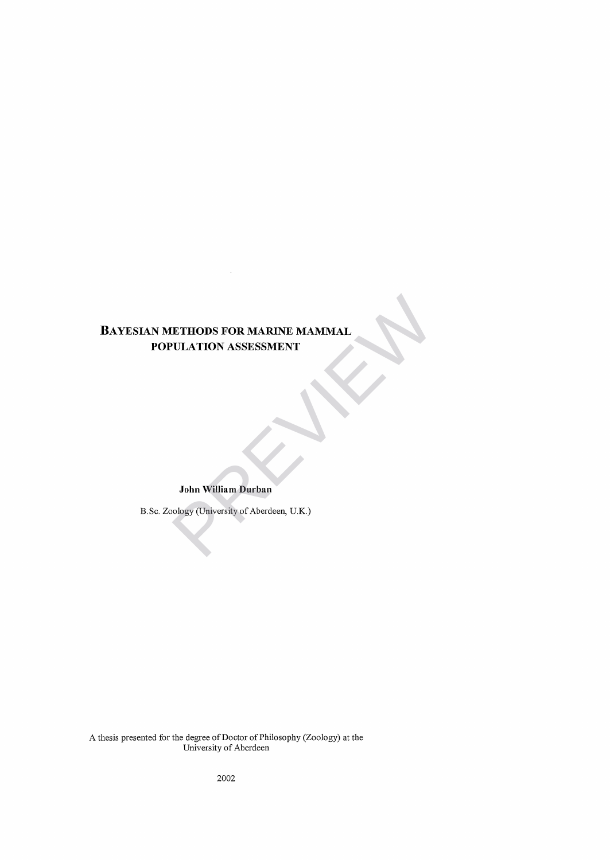# **BAYESIAN METHODS FOR MARINE MAMMAL POPULATION ASSESSMENT** ETHODS FOR MARINE MAMMAL<br>
PULATION ASSESSMENT<br>
John William Durban<br>
John William Durban<br>
Nology (University of Aberdeen, U.K.)

## **John William Durban**

B.Sc. Zoology (University of Aberdeen, U.K.)

A thesis presented for the degree of Doctor of Philosophy (Zoology) at the University of Aberdeen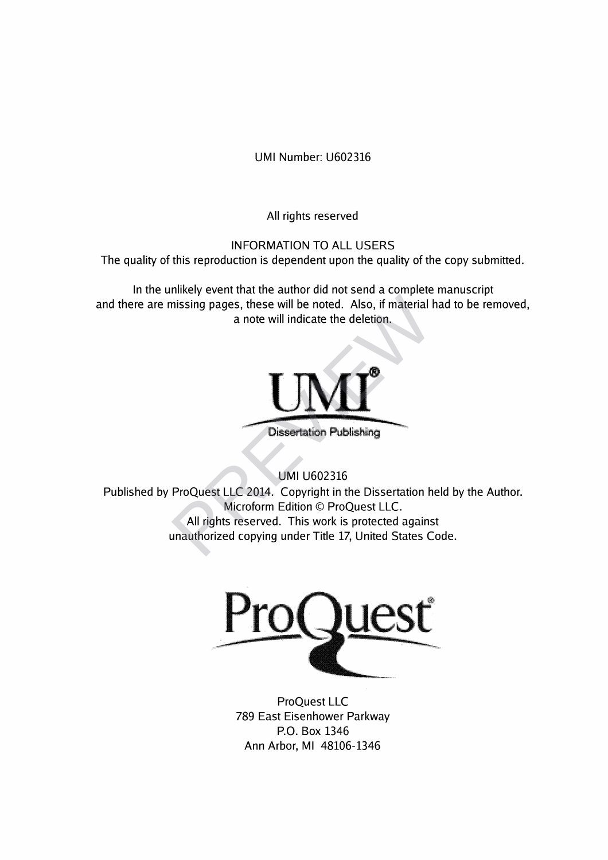UMI Number: U602316

All rights reserved

INFORMATION TO ALL USERS

The quality of this reproduction is dependent upon the quality of the copy submitted.

In the unlikely event that the author did not send a complete manuscript and there are missing pages, these will be noted. Also, if material had to be removed, a note will indicate the deletion.



Dissertation Publishing

UMI U602316

Published by ProQuest LLC 2014. Copyright in the Dissertation held by the Author. Microform Edition © ProQuest LLC. All rights reserved. This work is protected against unauthorized copying under Title 17, United States Code. Missing pages, these will be noted. Also, if material land to the will indicate the deletion.<br>
a note will indicate the deletion.<br>
Dissertation Publishing<br>
UMI U602316<br>
ProQuest LLC 2014. Copyright in the Dissertation h<br>
M



ProQuest LLC 789 East Eisenhower Parkway P.O. Box 1346 Ann Arbor, Ml 48106-1346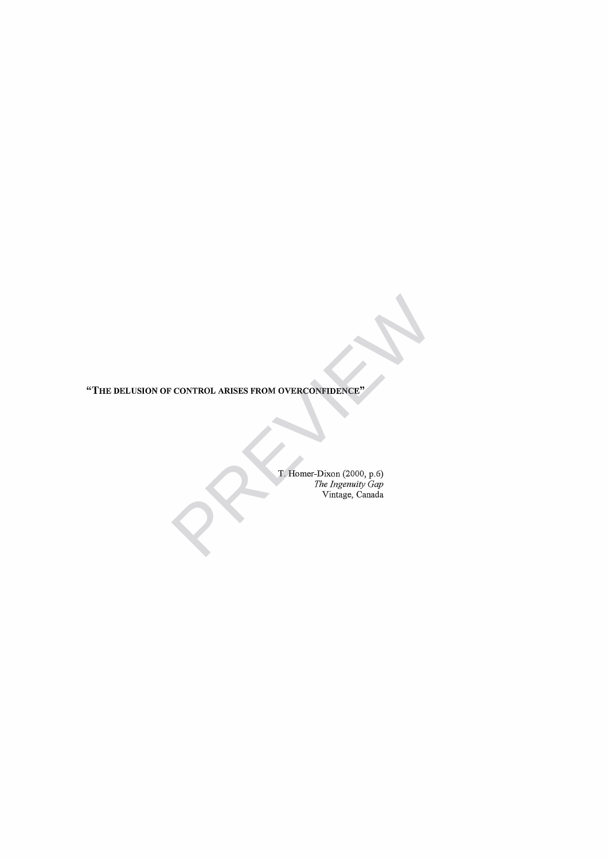**"T h e d e l u sio n o f c o n t r o l a r ise s fr o m o v e r c o n f id e n c e"**

T. Homer-Dixon (2000, **p.**6) *The Ingenuity Gap* Vintage, Canada CONTROL ARISES FROM OVERCONFIDENCE"<br>
T. Homer-Dixon (2000, p.6)<br>
The Ingemity Gap<br>
Vintage, Canada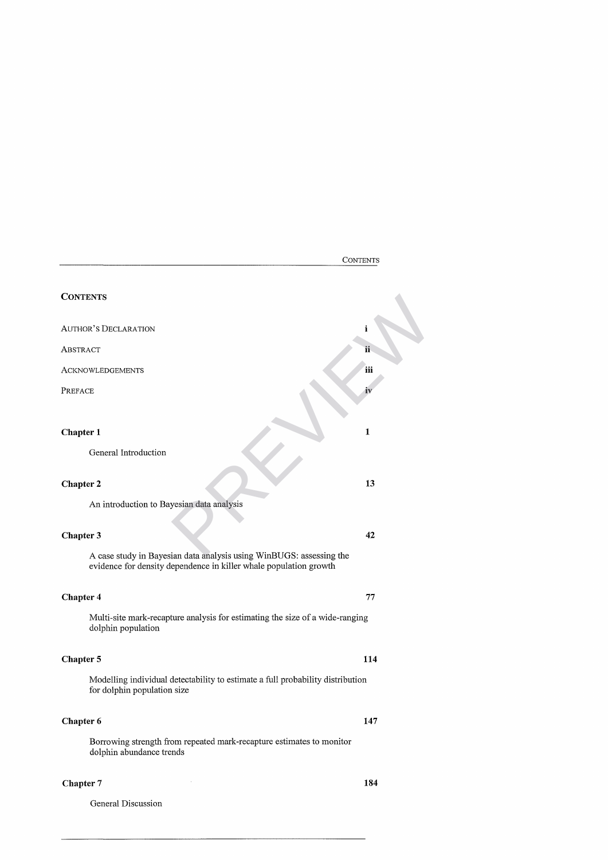|                                                                                                                                          | <b>CONTENTS</b> |
|------------------------------------------------------------------------------------------------------------------------------------------|-----------------|
| <b>CONTENTS</b>                                                                                                                          |                 |
| <b>AUTHOR'S DECLARATION</b>                                                                                                              | i               |
| ABSTRACT                                                                                                                                 | ii              |
| <b>ACKNOWLEDGEMENTS</b>                                                                                                                  | iii             |
| PREFACE                                                                                                                                  | iv              |
| Chapter 1<br>General Introduction                                                                                                        | $\mathbf{1}$    |
| <b>Chapter 2</b>                                                                                                                         | 13              |
| An introduction to Bayesian data analysis                                                                                                |                 |
| Chapter 3                                                                                                                                | 42              |
| A case study in Bayesian data analysis using WinBUGS: assessing the<br>evidence for density dependence in killer whale population growth |                 |
| <b>Chapter 4</b>                                                                                                                         | 77              |
| Multi-site mark-recapture analysis for estimating the size of a wide-ranging<br>dolphin population                                       |                 |
| Chapter 5                                                                                                                                | 114             |
| Modelling individual detectability to estimate a full probability distribution<br>for dolphin population size                            |                 |
| Chapter 6                                                                                                                                | 147             |
| Borrowing strength from repeated mark-recapture estimates to monitor<br>dolphin abundance trends                                         |                 |
| <b>Chapter 7</b>                                                                                                                         | 184             |

<span id="page-3-0"></span>General Discussion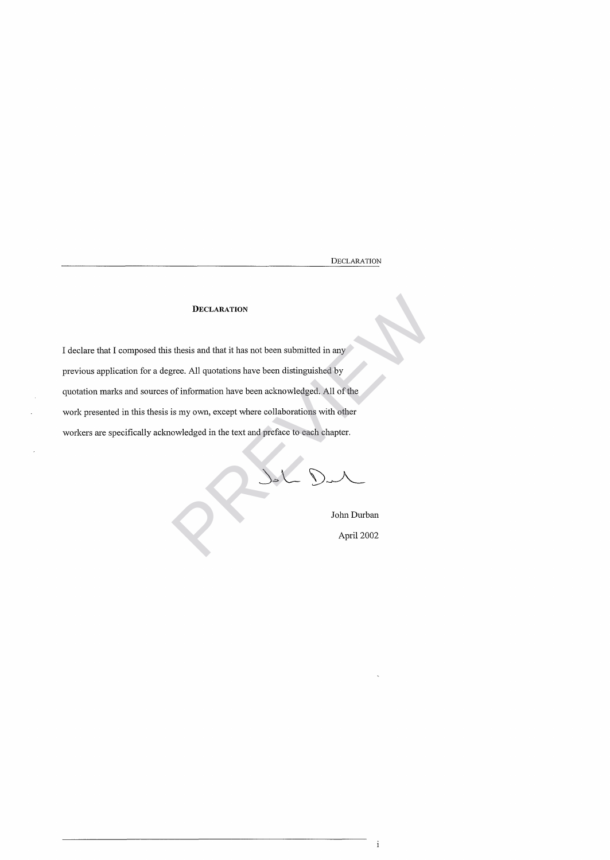DECLARATION

## **DECLARATION**

I declare that I composed this thesis and that it has not been submitted in any previous application for a degree. All quotations have been distinguished by quotation marks and sources of information have been acknowledged. All of the work presented in this thesis is my own, except where collaborations with other workers are specifically acknowledged in the text and preface to each chapter. DECLARATION<br>
st thesis and that it has not been submitted in any<br>
gree. All quotations have been distinguished by<br>
of information have been acknowledged. All of the<br>
is my own, except where collaborations with other<br>
cowle

John Durban

April 2002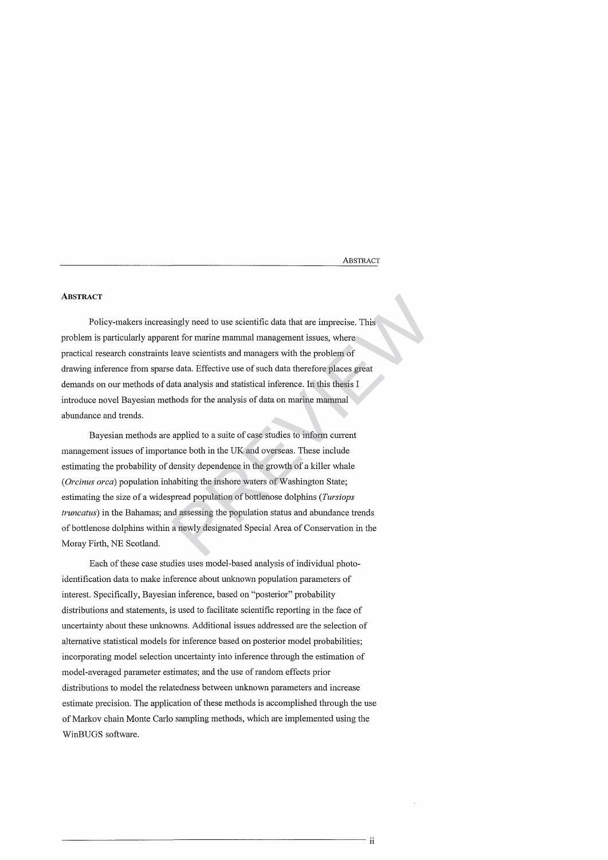**ABSTRACT** 

## **ABSTRACT**

Policy-makers increasingly need to use scientific data that are imprecise. This problem is particularly apparent for marine mammal management issues, where practical research constraints leave scientists and managers with the problem of drawing inference from sparse data. Effective use of such data therefore places great demands on our methods of data analysis and statistical inference. In this thesis I introduce novel Bayesian methods for the analysis of data on marine mammal abundance and trends.

Bayesian methods are applied to a suite of case studies to inform current management issues of importance both in the UK and overseas. These include estimating the probability of density dependence in the growth of a killer whale *(Orcinus orca*) population inhabiting the inshore waters of Washington State; estimating the size of a widespread population of bottlenose dolphins *(Tursiops truncatus)* in the Bahamas; and assessing the population status and abundance trends of bottlenose dolphins within a newly designated Special Area of Conservation in the Moray Firth, NE Scotland. ingly need to use scientific data that are imprecise. This<br>ent for marine mammal management issues, where<br>leave scientists and managers with the problem of<br>e data. Effective use of such data therefore places great<br>ata anal

Each of these case studies uses model-based analysis of individual photoidentification data to make inference about unknown population parameters of interest. Specifically, Bayesian inference, based on "posterior" probability distributions and statements, is used to facilitate scientific reporting in the face of uncertainty about these unknowns. Additional issues addressed are the selection of alternative statistical models for inference based on posterior model probabilities; incorporating model selection uncertainty into inference through the estimation of model-averaged parameter estimates; and the use of random effects prior distributions to model the relatedness between unknown parameters and increase estimate precision. The application of these methods is accomplished through the use of Markov chain Monte Carlo sampling methods, which are implemented using the WinBUGS software.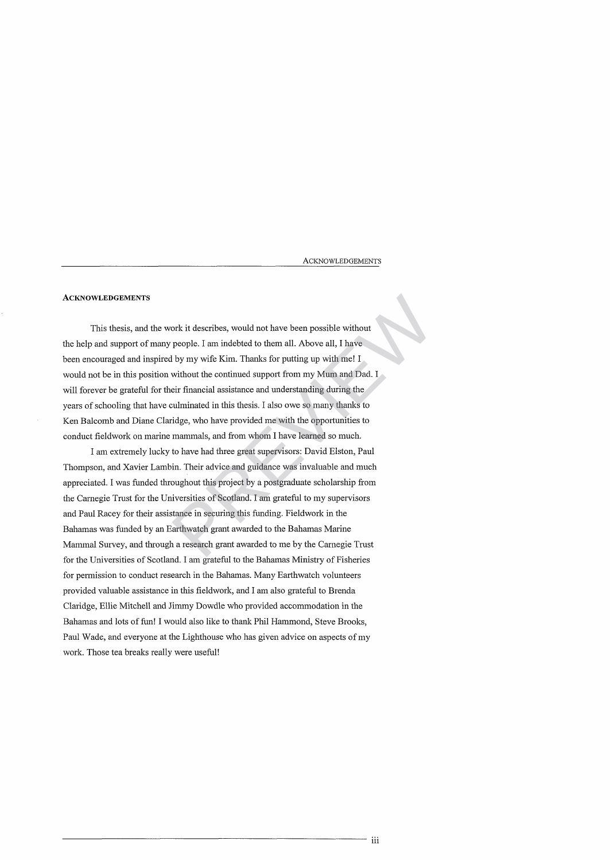A CKNOWLED GEMENTS

#### **ACKNOWLEDGEMENTS**

This thesis, and the work it describes, would not have been possible without the help and support of many people. I am indebted to them all. Above all, I have been encouraged and inspired by my wife Kim. Thanks for putting up with me! I would not be in this position without the continued support from my Mum and Dad. I will forever be grateful for their financial assistance and understanding during the years of schooling that have culminated in this thesis. I also owe so many thanks to Ken Balcomb and Diane Claridge, who have provided me with the opportunities to conduct fieldwork on marine mammals, and from whom I have learned so much. ork it describes, would not have been possible without<br>people. I am indebted to them all. Above all, I have<br>l by my wife Kim. Thanks for putting up with me! I<br>without the continued support from my Mum and Dad. I<br>eir financ

I am extremely lucky to have had three great supervisors: David Elston, Paul Thompson, and Xavier Lambin. Their advice and guidance was invaluable and much appreciated. I was funded throughout this project by a postgraduate scholarship from the Carnegie Trust for the Universities of Scotland. I am grateful to my supervisors and Paul Racey for their assistance in securing this funding. Fieldwork in the Bahamas was funded by an Earthwatch grant awarded to the Bahamas Marine Mammal Survey, and through a research grant awarded to me by the Carnegie Trust for the Universities of Scotland. I am grateful to the Bahamas Ministry of Fisheries for permission to conduct research in the Bahamas. Many Earthwatch volunteers provided valuable assistance in this fieldwork, and I am also grateful to Brenda Claridge, Ellie Mitchell and Jimmy Dowdle who provided accommodation in the Bahamas and lots of fun! I would also like to thank Phil Hammond, Steve Brooks, Paul Wade, and everyone at the Lighthouse who has given advice on aspects of my work. Those tea breaks really were useful!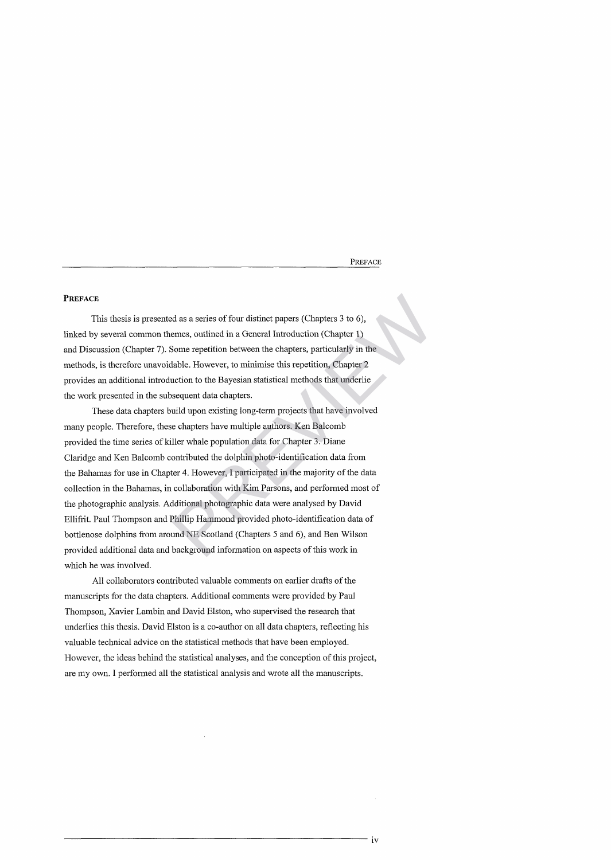PREFACE

#### **PREFACE**

This thesis is presented as a series of four distinct papers (Chapters 3 to 6), linked by several common themes, outlined in a General Introduction (Chapter 1) and Discussion (Chapter 7). Some repetition between the chapters, particularly in the methods, is therefore unavoidable. However, to minimise this repetition, Chapter 2 provides an additional introduction to the Bayesian statistical methods that underlie the work presented in the subsequent data chapters.

These data chapters build upon existing long-term projects that have involved many people. Therefore, these chapters have multiple authors. Ken Balcomb provided the time series of killer whale population data for Chapter 3. Diane Claridge and Ken Balcomb contributed the dolphin photo-identification data from the Bahamas for use in Chapter 4. However, I participated in the majority of the data collection in the Bahamas, in collaboration with Kim Parsons, and performed most of the photographic analysis. Additional photographic data were analysed by David Ellifrit. Paul Thompson and Phillip Hammond provided photo-identification data of bottlenose dolphins from around NE Scotland (Chapters 5 and 6), and Ben Wilson provided additional data and background information on aspects of this work in which he was involved. relative as a series of four distinct papers (Chapters 3 to 6),<br>emes, outlined in a General Introduction (Chapter 1)<br>Some repetition between the chapters, particularly in the<br>table. However, to minimise this repetition, Ch

All collaborators contributed valuable comments on earlier drafts of the manuscripts for the data chapters. Additional comments were provided by Paul Thompson, Xavier Lambin and David Elston, who supervised the research that underlies this thesis. David Elston is a co-author on all data chapters, reflecting his valuable technical advice on the statistical methods that have been employed. However, the ideas behind the statistical analyses, and the conception of this project, are my own. I performed all the statistical analysis and wrote all the manuscripts.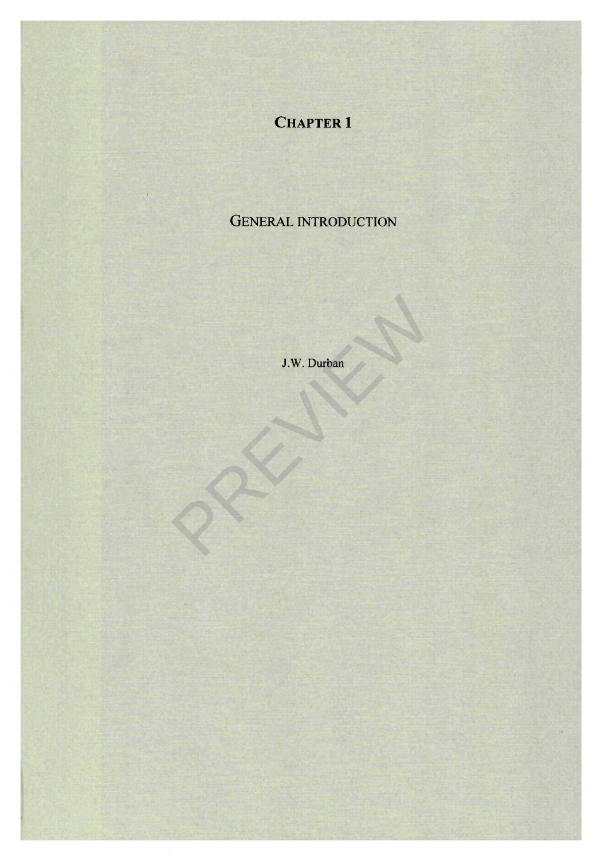# **CHAPTER 1**

# GENERAL INTRODUCTION

J.W. Durban J.W. Durban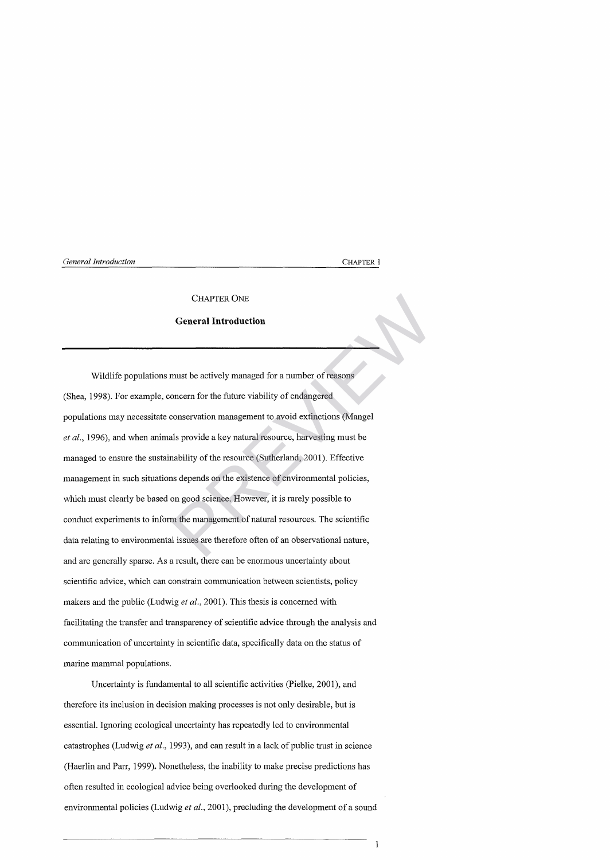#### **CHAPTER ONE**

#### **General Introduction**

Wildlife populations must be actively managed for a number of reasons (Shea, 1998). For example, concern for the future viability of endangered populations may necessitate conservation management to avoid extinctions (Mangel *et al.,* 1996), and when animals provide a key natural resource, harvesting must be managed to ensure the sustainability of the resource (Sutherland, 2001). Effective management in such situations depends on the existence of environmental policies, which must clearly be based on good science. However, it is rarely possible to conduct experiments to inform the management of natural resources. The scientific data relating to environmental issues are therefore often of an observational nature, and are generally sparse. As a result, there can be enormous uncertainty about scientific advice, which can constrain communication between scientists, policy makers and the public (Ludwig *et al.,* 2001). This thesis is concerned with facilitating the transfer and transparency of scientific advice through the analysis and communication of uncertainty in scientific data, specifically data on the status of marine mammal populations. CHAPTER ONE<br>
General Introduction<br>
must be actively managed for a number of reasons<br>
oncern for the future viability of endangered<br>
conservation management to avoid extinctions (Mangel<br>
als provide a key natural resource,

Uncertainty is fundamental to all scientific activities (Pielke, 2001), and therefore its inclusion in decision making processes is not only desirable, but is essential. Ignoring ecological uncertainty has repeatedly led to environmental catastrophes (Ludwig *et al.,* 1993), and can result in a lack of public trust in science (Haerlin and Parr, 1999). Nonetheless, the inability to make precise predictions has often resulted in ecological advice being overlooked during the development of environmental policies (Ludwig *et al.,* 2001), precluding the development of a sound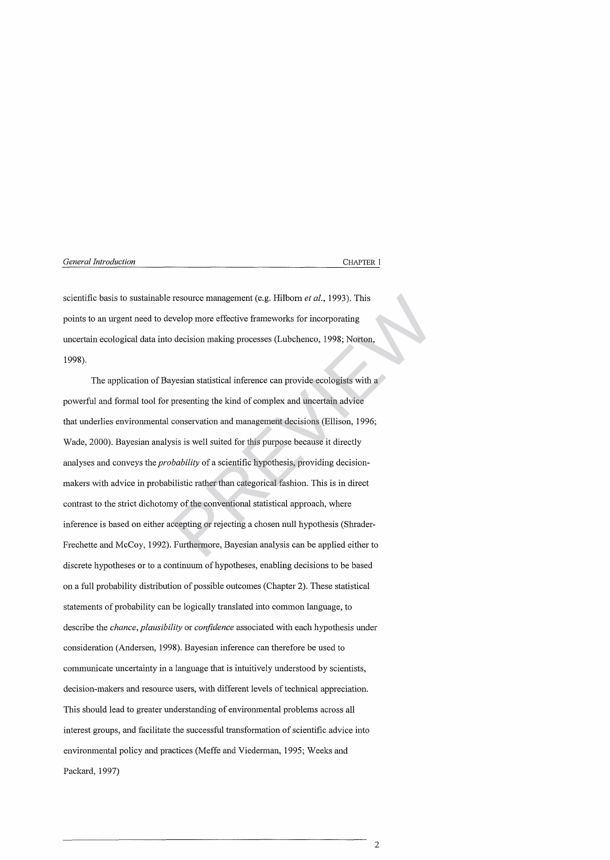scientific basis to sustainable resource management (e.g. Hilborn *et al.,* 1993). This points to an urgent need to develop more effective frameworks for incorporating uncertain ecological data into decision making processes (Lubchenco, 1998; Norton, 1998).

The application of Bayesian statistical inference can provide ecologists with a powerful and formal tool for presenting the kind of complex and uncertain advice that underlies environmental conservation and management decisions (Ellison, 1996; Wade, 2000). Bayesian analysis is well suited for this purpose because it directly analyses and conveys the *probability* of a scientific hypothesis, providing decisionmakers with advice in probabilistic rather than categorical fashion. This is in direct contrast to the strict dichotomy of the conventional statistical approach, where inference is based on either accepting or rejecting a chosen null hypothesis (Shrader-Frechette and McCoy, 1992). Furthermore, Bayesian analysis can be applied either to discrete hypotheses or to a continuum of hypotheses, enabling decisions to be based on a full probability distribution of possible outcomes (Chapter 2). These statistical statements of probability can be logically translated into common language, to describe the *chance, plausibility* or *confidence* associated with each hypothesis under consideration (Andersen, 1998). Bayesian inference can therefore be used to communicate uncertainty in a language that is intuitively understood by scientists, decision-makers and resource users, with different levels of technical appreciation. This should lead to greater understanding of environmental problems across all interest groups, and facilitate the successful transformation of scientific advice into environmental policy and practices (Meffe and Viederman, 1995; Weeks and Packard, 1997) resource management (e.g. Hilborn *et al.*, 1993). This<br>evelop more effective frameworks for incorporating<br>decision making processes (Lubchenco, 1998; Norton,<br>yesian statistical inference can provide ecologists with a<br>pres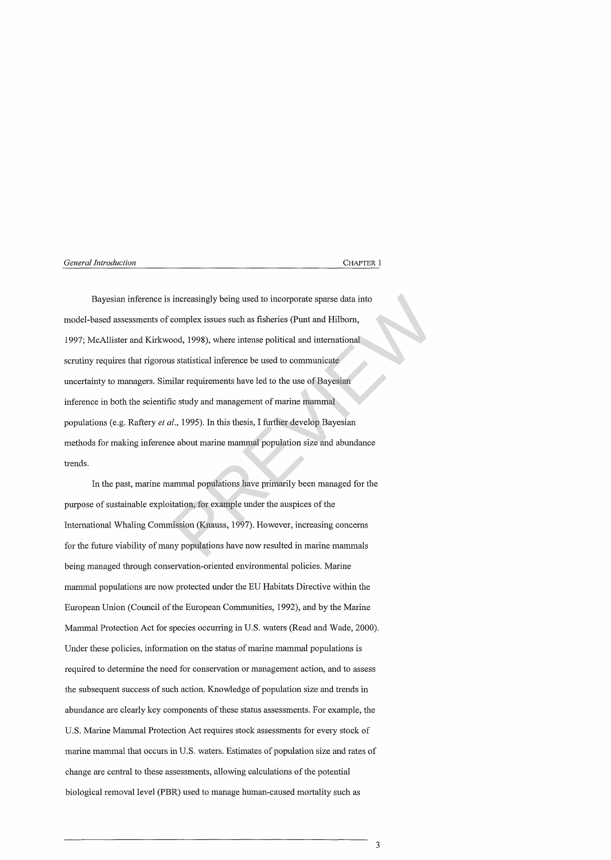Bayesian inference is increasingly being used to incorporate sparse data into model-based assessments of complex issues such as fisheries (Punt and Hilborn, 1997; McAllister and Kirkwood, 1998), where intense political and international scrutiny requires that rigorous statistical inference be used to communicate uncertainty to managers. Similar requirements have led to the use of Bayesian inference in both the scientific study and management of marine mammal populations (e.g. Raftery *el al.,* 1995). In this thesis, I further develop Bayesian methods for making inference about marine mammal population size and abundance trends. increasingly being used to incorporate sparse data into<br>complex issues such as fisheries (Punt and Hilborn,<br>bod, 1998), where intense political and international<br>s statistical inference be used to communicate<br>ilar requirem

In the past, marine mammal populations have primarily been managed for the purpose of sustainable exploitation, for example under the auspices of the International Whaling Commission (Knauss, 1997). However, increasing concerns for the future viability of many populations have now resulted in marine mammals being managed through conservation-oriented environmental policies. Marine mammal populations are now protected under the EU Habitats Directive within the European Union (Council of the European Communities, 1992), and by the Marine Mammal Protection Act for species occurring in U.S. waters (Read and Wade, 2000). Under these policies, information on the status of marine mammal populations is required to determine the need for conservation or management action, and to assess the subsequent success of such action. Knowledge of population size and trends in abundance are clearly key components of these status assessments. For example, the U.S. Marine Mammal Protection Act requires stock assessments for every stock of marine mammal that occurs in U.S. waters. Estimates of population size and rates of change are central to these assessments, allowing calculations of the potential biological removal level (PBR) used to manage human-caused mortality such as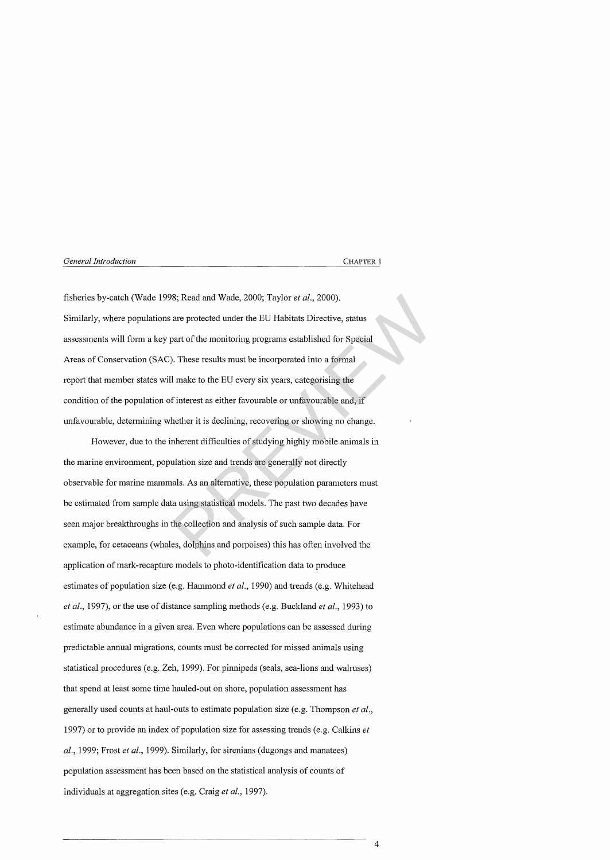fisheries by-catch (Wade 1998; Read and Wade, 2000; Taylor *et al.,* 2000). Similarly, where populations are protected under the EU Habitats Directive, status assessments will form a key part of the monitoring programs established for Special Areas of Conservation (SAC). These results must be incorporated into a formal report that member states will make to the EU every six years, categorising the condition of the population of interest as either favourable or unfavourable and, if unfavourable, determining whether it is declining, recovering or showing no change. 98; Read and Wade, 2000; Taylor *et al.*, 2000).<br>
are protected under the EU Habitats Directive, status<br>
part of the monitoring programs established for Special<br>
). These results must be incorporated into a formal<br>
1 make

However, due to the inherent difficulties of studying highly mobile animals in the marine environment, population size and trends are generally not directly observable for marine mammals. As an alternative, these population parameters must be estimated from sample data using statistical models. The past two decades have seen major breakthroughs in the collection and analysis of such sample data. For example, for cetaceans (whales, dolphins and porpoises) this has often involved the application of mark-recapture models to photo-identification data to produce estimates of population size (e.g. Hammond *et al.,* 1990) and trends (e.g. Whitehead *et al.,* 1997), or the use of distance sampling methods (e.g. Buckland *et al.,* 1993) to estimate abundance in a given area. Even where populations can be assessed during predictable annual migrations, counts must be corrected for missed animals using statistical procedures (e.g. Zeh, 1999). For pinnipeds (seals, sea-lions and walruses) that spend at least some time hauled-out on shore, population assessment has generally used counts at haul-outs to estimate population size (e.g. Thompson *et al.,* 1997) or to provide an index of population size for assessing trends (e.g. Calkins *et al.,* 1999; Frost *et al.,* 1999). Similarly, for sirenians (dugongs and manatees) population assessment has been based on the statistical analysis of counts of individuals at aggregation sites (e.g. Craig *et al.,* 1997).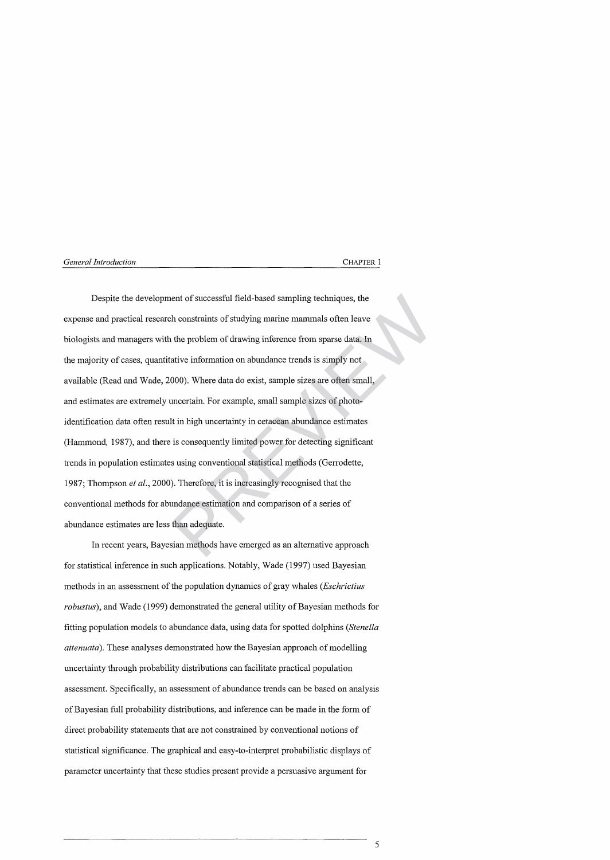Despite the development of successful field-based sampling techniques, the expense and practical research constraints of studying marine mammals often leave biologists and managers with the problem of drawing inference from sparse data. In the majority of cases, quantitative information on abundance trends is simply not available (Read and Wade, 2000). Where data do exist, sample sizes are often small, and estimates are extremely uncertain. For example, small sample sizes of photoidentification data often result in high uncertainty in cetacean abundance estimates (Hammond, 1987), and there is consequently limited power for detecting significant trends in population estimates using conventional statistical methods (Gerrodette, 1987; Thompson *et al.,* 2000). Therefore, it is increasingly recognised that the conventional methods for abundance estimation and comparison of a series of abundance estimates are less than adequate. ent of successful field-based sampling techniques, the<br>
h constraints of studying marine mammals often leave<br>
the problem of drawing inference from sparse data. In<br>
ative information on abundance trends is simply not<br>
000)

In recent years, Bayesian methods have emerged as an alternative approach for statistical inference in such applications. Notably, Wade (1997) used Bayesian methods in an assessment of the population dynamics of gray whales *(Eschrictius robustus*), and Wade (1999) demonstrated the general utility of Bayesian methods for fitting population models to abundance data, using data for spotted dolphins *(Stenella attenuata*). These analyses demonstrated how the Bayesian approach of modelling uncertainty through probability distributions can facilitate practical population assessment. Specifically, an assessment of abundance trends can be based on analysis of Bayesian full probability distributions, and inference can be made in the form of direct probability statements that are not constrained by conventional notions of statistical significance. The graphical and easy-to-interpret probabilistic displays of parameter uncertainty that these studies present provide a persuasive argument for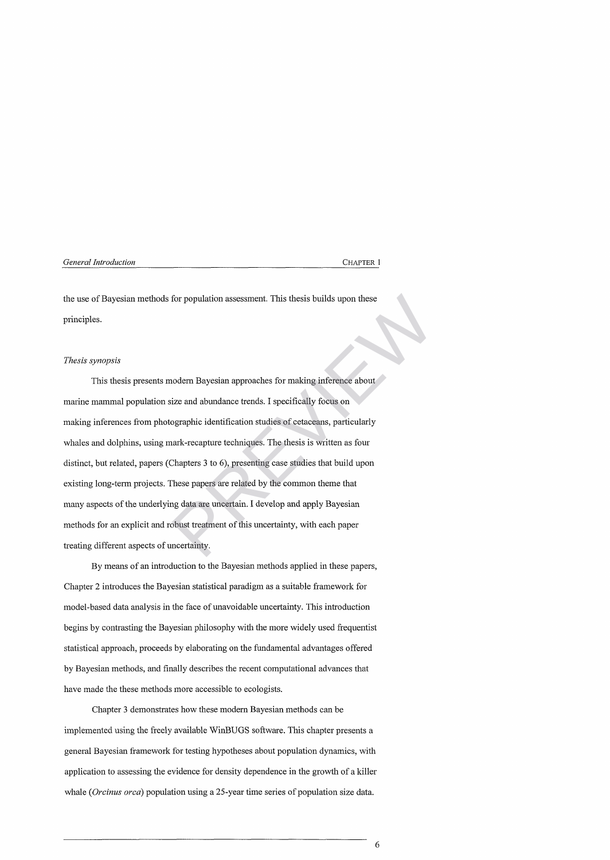the use of Bayesian methods for population assessment. This thesis builds upon these principles.

#### *Thesis synopsis*

This thesis presents modern Bayesian approaches for making inference about marine mammal population size and abundance trends. I specifically focus on making inferences from photographic identification studies of cetaceans, particularly whales and dolphins, using mark-recapture techniques. The thesis is written as four distinct, but related, papers (Chapters 3 to 6), presenting case studies that build upon existing long-term projects. These papers are related by the common theme that many aspects of the underlying data are uncertain. I develop and apply Bayesian methods for an explicit and robust treatment of this uncertainty, with each paper treating different aspects of uncertainty. for population assessment. This thesis builds upon these<br>nodern Bayesian approaches for making inference about<br>ize and abundance trends. I specifically focus on<br>ographic identification studies of cetaceans, particularly<br>na

By means of an introduction to the Bayesian methods applied in these papers, Chapter 2 introduces the Bayesian statistical paradigm as a suitable framework for model-based data analysis in the face of unavoidable uncertainty. This introduction begins by contrasting the Bayesian philosophy with the more widely used frequentist statistical approach, proceeds by elaborating on the fundamental advantages offered by Bayesian methods, and finally describes the recent computational advances that have made the these methods more accessible to ecologists.

Chapter 3 demonstrates how these modern Bayesian methods can be implemented using the freely available WinBUGS software. This chapter presents a general Bayesian framework for testing hypotheses about population dynamics, with application to assessing the evidence for density dependence in the growth of a killer whale *(Orcinus orca*) population using a 25-year time series of population size data.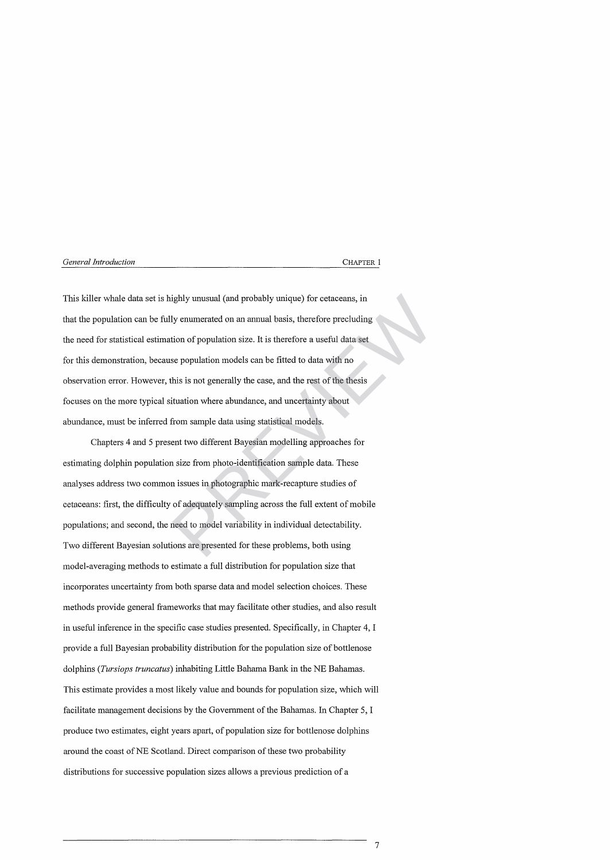This killer whale data set is highly unusual (and probably unique) for cetaceans, in that the population can be fully enumerated on an annual basis, therefore precluding the need for statistical estimation of population size. It is therefore a useful data set for this demonstration, because population models can be fitted to data with no observation error. However, this is not generally the case, and the rest of the thesis focuses on the more typical situation where abundance, and uncertainty about abundance, must be inferred from sample data using statistical models. ighly unusual (and probably unique) for cetaceans, in<br>ly enumerated on an annual basis, therefore precluding<br>tion of population size. It is therefore a useful data set<br>se population models can be fitted to data with no<br>thi

Chapters 4 and 5 present two different Bayesian modelling approaches for estimating dolphin population size from photo-identification sample data. These analyses address two common issues in photographic mark-recapture studies of cetaceans: first, the difficulty of adequately sampling across the full extent of mobile populations; and second, the need to model variability in individual detectability. Two different Bayesian solutions are presented for these problems, both using model-averaging methods to estimate a full distribution for population size that incorporates uncertainty from both sparse data and model selection choices. These methods provide general frameworks that may facilitate other studies, and also result in useful inference in the specific case studies presented. Specifically, in Chapter 4, I provide a full Bayesian probability distribution for the population size of bottlenose dolphins *(Tursiops truncatus*) inhabiting Little Bahama Bank in the NE Bahamas. This estimate provides a most likely value and bounds for population size, which will facilitate management decisions by the Government of the Bahamas. In Chapter 5, I produce two estimates, eight years apart, of population size for bottlenose dolphins around the coast of NE Scotland. Direct comparison of these two probability distributions for successive population sizes allows a previous prediction of a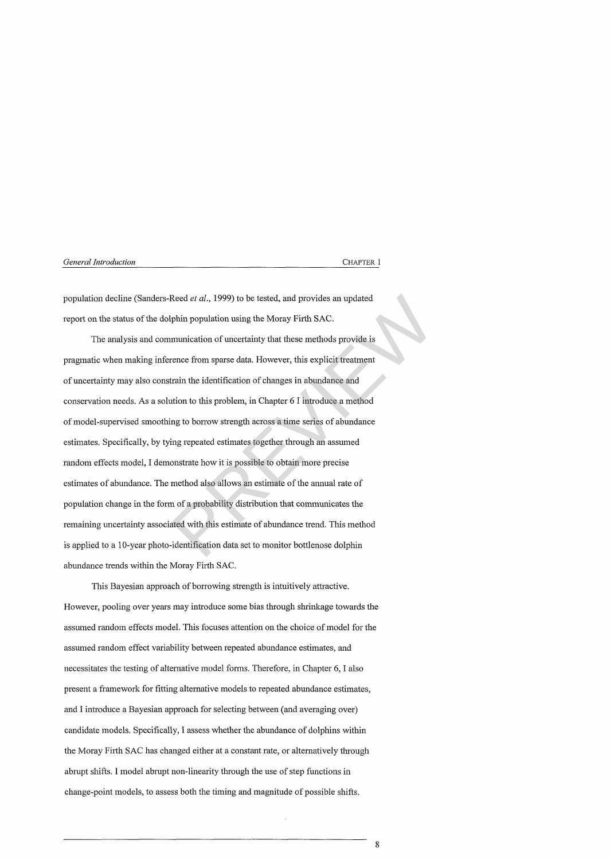population decline (Sanders-Reed *et al.,* 1999) to be tested, and provides an updated report on the status of the dolphin population using the Moray Firth SAC.

The analysis and communication of uncertainty that these methods provide is pragmatic when making inference from sparse data. However, this explicit treatment of uncertainty may also constrain the identification of changes in abundance and conservation needs. As a solution to this problem, in Chapter 6 I introduce a method of model-supervised smoothing to borrow strength across a time series of abundance estimates. Specifically, by tying repeated estimates together through an assumed random effects model, I demonstrate how it is possible to obtain more precise estimates of abundance. The method also allows an estimate of the annual rate of population change in the form of a probability distribution that communicates the remaining uncertainty associated with this estimate of abundance trend. This method is applied to a 10-year photo-identification data set to monitor bottlenose dolphin abundance trends within the Moray Firth SAC. Reed *et al.*, 1999) to be tested, and provides an updated<br>phin population using the Moray Firth SAC.<br>munication of uncertainty that these methods provide is<br>rence from sparse data. However, this explicit treatment<br>train t

This Bayesian approach of borrowing strength is intuitively attractive. However, pooling over years may introduce some bias through shrinkage towards the assumed random effects model. This focuses attention on the choice of model for the assumed random effect variability between repeated abundance estimates, and necessitates the testing of alternative model forms. Therefore, in Chapter 6, I also present a framework for fitting alternative models to repeated abundance estimates, and I introduce a Bayesian approach for selecting between (and averaging over) candidate models. Specifically, I assess whether the abundance of dolphins within the Moray Firth SAC has changed either at a constant rate, or alternatively through abrupt shifts. I model abrupt non-linearity through the use of step functions in change-point models, to assess both the timing and magnitude of possible shifts.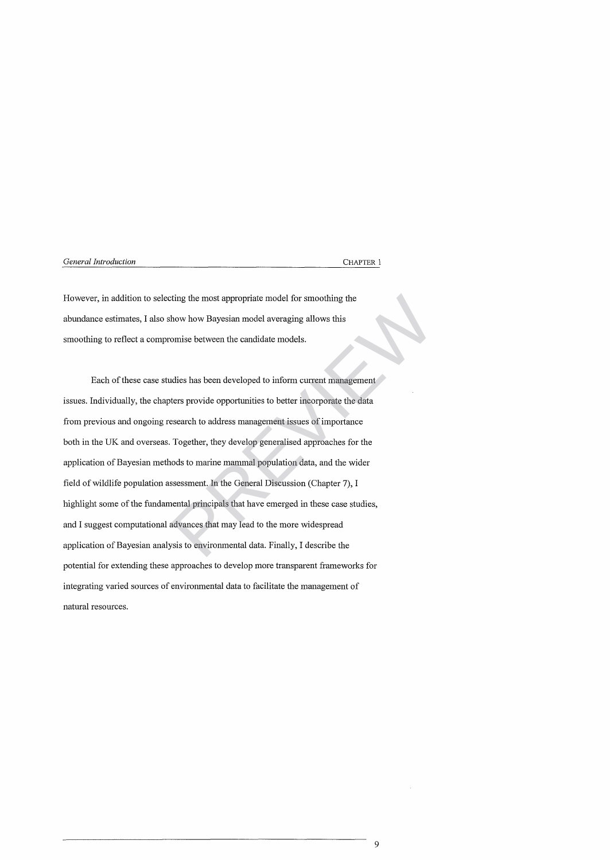However, in addition to selecting the most appropriate model for smoothing the abundance estimates, I also show how Bayesian model averaging allows this smoothing to reflect a compromise between the candidate models.

Each of these case studies has been developed to inform current management issues. Individually, the chapters provide opportunities to better incorporate the data from previous and ongoing research to address management issues of importance both in the UK and overseas. Together, they develop generalised approaches for the application of Bayesian methods to marine mammal population data, and the wider field of wildlife population assessment. In the General Discussion (Chapter 7), I highlight some of the fundamental principals that have emerged in these case studies, and I suggest computational advances that may lead to the more widespread application of Bayesian analysis to environmental data. Finally, I describe the potential for extending these approaches to develop more transparent frameworks for integrating varied sources of environmental data to facilitate the management of natural resources. ting the most appropriate model for smoothing the<br>how how Bayesian model averaging allows this<br>omise between the candidate models.<br>dies has been developed to inform current management<br>ters provide opportunities to better i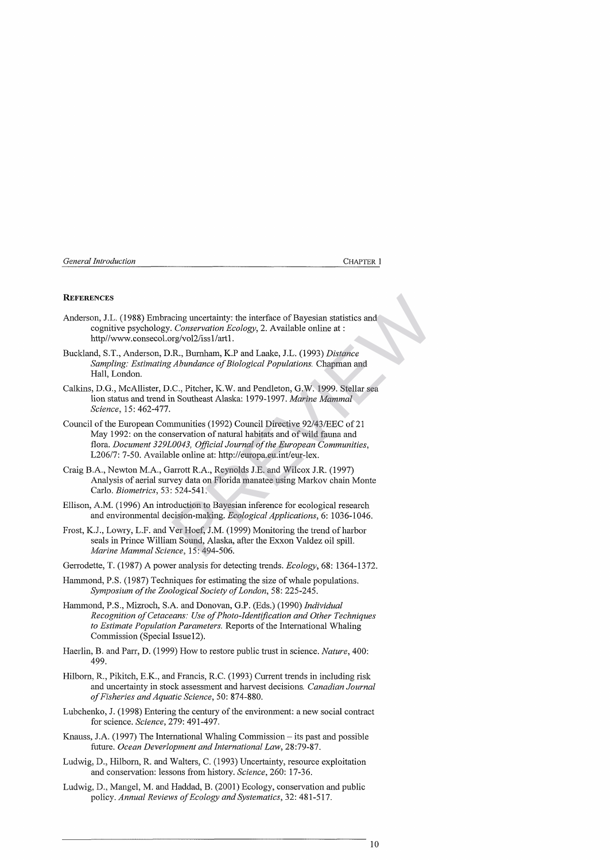#### **REFERENCES**

- Anderson, J.L. (1988) Embracing uncertainty: the interface of Bayesian statistics and cognitive psychology. *Conservation Ecology*, 2. Available online at : http//www.consecol.org/vol2/iss1/art1.
- Buckland, S.T., Anderson, D.R., Burnham, K.P and Laake, J.L. (1993) *Distance Sampling: Estimating Abundance of Biological Populations. Chapman and* Hall, London.
- Calkins, D.G., McAllister, D.C., Pitcher, K.W. and Pendleton, G.W. 1999. Stellar sea lion status and trend in Southeast Alaska: 1979-1997. *Marine Mammal Science,* 15: 462-477.
- Council of the European Communities (1992) Council Directive 92/43/EEC of 21 May 1992: on the conservation of natural habitats and of wild fauna and flora. *Document 329L0043*, *Official Journal of the European Communities*, *1120611-.* 7-50. Available online at: http://europa.eu.int/eur-lex. cing uncertainty: the interface of Bayesian statistics and<br>
Conservation Ecology, 2. Available online at :<br>
R., Burnham, K.P and Laake, J.L. (1993) Distance<br>
Abundance of Biological Populations. Chapman and<br>
C., Pitcher, K
- Craig B.A., Newton M.A., Garrott R.A., Reynolds J.E. and Wilcox J.R. (1997) Analysis of aerial survey data on Florida manatee using Markov chain Monte Carlo. *Biometrics,* 53: 524-541.
- Ellison, A.M. (1996) An introduction to Bayesian inference for ecological research and environmental decision-making. *Ecological Applications,* 6: 1036-1046.
- Frost, K.J., Lowry, L.F. and Ver Hoef, J.M. (1999) Monitoring the trend of harbor seals in Prince William Sound, Alaska, after the Exxon Valdez oil spill. *Marine Mammal Science,* 15: 494-506.
- Gerrodette, T. (1987) A power analysis for detecting trends. *Ecology,* 68: 1364-1372.
- Hammond, P.S. (1987) Techniques for estimating the size of whale populations. *Symposium of the Zoological Society of London,* 58: 225-245.
- Hammond, P.S., Mizroch, S.A. and Donovan, G.P. (Eds.) (1990) *Individual Recognition o f Cetaceans: Use o f Photo-Identification and Other Techniques to Estimate Population Parameters.* Reports of the International Whaling Commission (Special Issue 12).
- Haerlin, B. and Parr, D. (1999) How to restore public trust in science. *Nature,* 400: 499.
- Hilborn, R., Pikitch, E.K., and Francis, R.C. (1993) Current trends in including risk and uncertainty in stock assessment and harvest decisions. *Canadian Journal o f Fisheries and Aquatic Science,* 50: 874-880.
- Lubchenko, J. (1998) Entering the century of the environment: a new social contract for science. *Science,* 279: 491-497.
- Knauss, J.A. (1997) The International Whaling Commission its past and possible future. *Ocean Deverlopment and International Law,* 28:79-87.
- Ludwig, D., Hilborn, R. and Walters, C. (1993) Uncertainty, resource exploitation and conservation: lessons from history. *Science,* 260: 17-36.
- Ludwig, D., Mangel, M. and Haddad, B. (2001) Ecology, conservation and public policy. Annual Reviews of Ecology and Systematics, 32: 481-517.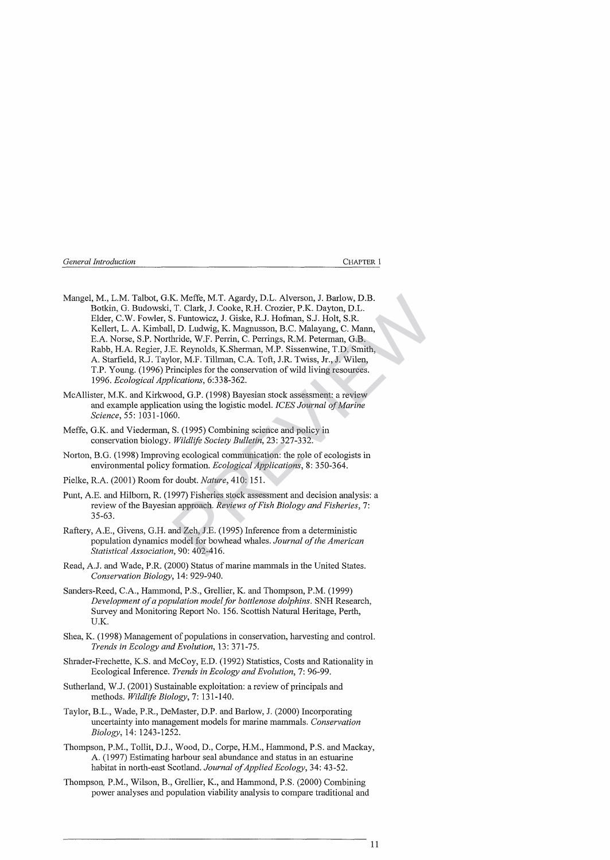| General Introduction |  |  | <b>CHAPTER 1</b> |
|----------------------|--|--|------------------|
|                      |  |  |                  |

- Mangel, M., L.M. Talbot, G.K. Meffe, M.T. Agardy, D.L. Alverson, J. Barlow, D.B. Botkin, G. Budowski, T. Clark, J. Cooke, R.H. Crozier, P.K. Dayton, D.L. Elder, C.W. Fowler, S. Funtowicz, J. Giske, R.J. Hofman, S.J. Holt, S.R. Kellert, L. A. Kimball, D. Ludwig, K. Magnusson, B.C. Malayang, C. Mami, E.A. Norse, S.P. Northride, W.F. Perrin, C. Perrings, R.M. Peterman, G.B. Rabb, H.A. Regier, J.E. Reynolds, K.Sherman, M.P. Sissenwine, T.D. Smith, A. Starfield, R.J. Taylor, M.F. Tillman, C.A. Toft, J.R. Twiss, Jr., J. Wilen, T.P. Young. (1996) Principles for the conservation of wild living resources. 1996. *Ecological Applications,* 6:338-362. K. Meffe, M.T. Agardy, D.L. Alverson, J. Barlow, D.B.<br>T. Clark, J. Cooke, R.H. Crozier, P.K. Dayton, D.L.<br>3. Funtowicz, J. Giske, R.J. Hoffman, S.J. Holt, S.R.<br>1, D. Ludwig, K. Magnusson, B.C. Malayang, C. Mann,<br>Firel, W.F
- McAllister, M.K. and Kirkwood, G.P. (1998) Bayesian stock assessment: a review and example application using the logistic model. *ICES Journal of Marine Science,* 55: 1031-1060.
- Meffe, G.K. and Viederman, S. (1995) Combining science and policy in conservation biology. *Wildlife Society Bulletin, 23: 327-332.*
- Norton, B.G. (1998) Improving ecological communication: the role of ecologists in environmental policy formation. *Ecological Applications,* 8: 350-364.
- Pielke, R.A. (2001) Room for doubt. *Nature,* 410: 151.
- Punt, A.E. and Hilborn, R. (1997) Fisheries stock assessment and decision analysis: a review of the Bayesian approach. *Reviews of Fish Biology and Fisheries*, 7: 35-63.
- Raftery, A.E., Givens, G.H. and Zeh, J.E. (1995) Inference from a deterministic population dynamics model for bowhead whales. *Journal of the American Statistical Association,* 90: 402-416.
- Read, A.J. and Wade, P.R. (2000) Status of marine mammals in the United States. *Conservation Biology,* 14: 929-940.
- Sanders-Reed, C.A., Hammond, P.S., Grellier, K. and Thompson, P.M. (1999) Development of a population model for bottlenose dolphins. SNH Research, Survey and Monitoring Report No. 156. Scottish Natural Heritage, Perth, U.K.
- Shea, K. (1998) Management of populations in conservation, harvesting and control. *Trends in Ecology and Evolution,* 13: 371-75.
- Shrader-Frechette, K.S. and McCoy, E.D. (1992) Statistics, Costs and Rationality in Ecological Inference. *Trends in Ecology and Evolution, 1:* 96-99.
- Sutherland, W.J. (2001) Sustainable exploitation: a review of principals and methods. *Wildlife Biology,* 7: 131-140.
- Taylor, B.L., Wade, P.R., DeMaster, D.P. and Barlow, J. (2000) Incorporating uncertainty into management models for marine mammals. *Conservation Biology,* 14: 1243-1252.
- Thompson, P.M., Tollit, D.J., Wood, D., Corpe, H.M., Hammond, P.S. and Mackay, A. (1997) Estimating harbour seal abundance and status in an estuarine habitat in north-east Scotland. *Journal of Applied Ecology*, 34: 43-52.
- Thompson, P.M., Wilson, B., Grellier, K., and Hammond, P.S. (2000) Combining power analyses and population viability analysis to compare traditional and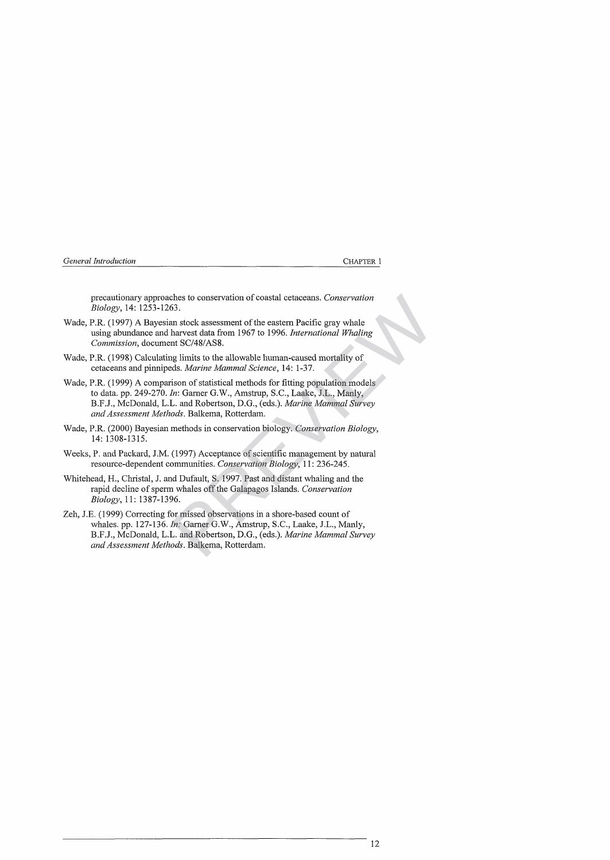| General Introduction |  |
|----------------------|--|
|----------------------|--|

**CHAPTER 1** 

precautionary approaches to conservation of coastal cetaceans. *Conservation Biology,* 14: 1253-1263.

- Wade, P.R. (1997) A Bayesian stock assessment of the eastern Pacific gray whale using abundance and harvest data from 1967 to 1996. *International Whaling Commission,* document SC/48/AS8.
- Wade, P.R. (1998) Calculating limits to the allowable human-caused mortality of cetaceans and pinnipeds*. Marine Mammal Science,* 14: 1-37.
- Wade, P.R. (1999) A comparison of statistical methods for fitting population models to data. pp. 249-270. *In:* Garner G.W., Amstrup, S.C., Laake, J.L., Manly, B.F.J., McDonald, L.L. and Robertson, D.G., (eds.). *Marine Mammal Survey and Assessment Methods.* Ballcema, Rotterdam. Shes to conservation of coastal cetaceans. Conservation<br>
53.<br>
Shes to conservation of the eastern Pacific gray whale<br>
harvest data from 1967 to 1996. *International Whaling*<br>
Int SC/48/AS8.<br>
Ig limits to the allowable huma
- Wade, P.R. (2000) Bayesian methods in conservation biology. *Conservation Biology,* 14: 1308-1315.
- Weeks, P. and Packard, J.M. (1997) Acceptance of scientific management by natural resource-dependent communities. *Conservation Biology,* 11: 236-245.
- Whitehead, H., Christal, J. and Dufault, S. 1997. Past and distant whaling and the rapid decline of sperm whales off the Galapagos Islands. *Conservation Biology,* 11: 1387-1396.
- Zeh, J.E. (1999) Correcting for missed observations in a shore-based count of whales, pp. 127-136. *In:* Garner G.W., Amstrup, S.C., Laake, J.L., Manly, B.F.J., McDonald, L.L. and Robertson, D.G., (eds.). *Marine Mammal Survey and Assessment Methods.* Balkema, Rotterdam.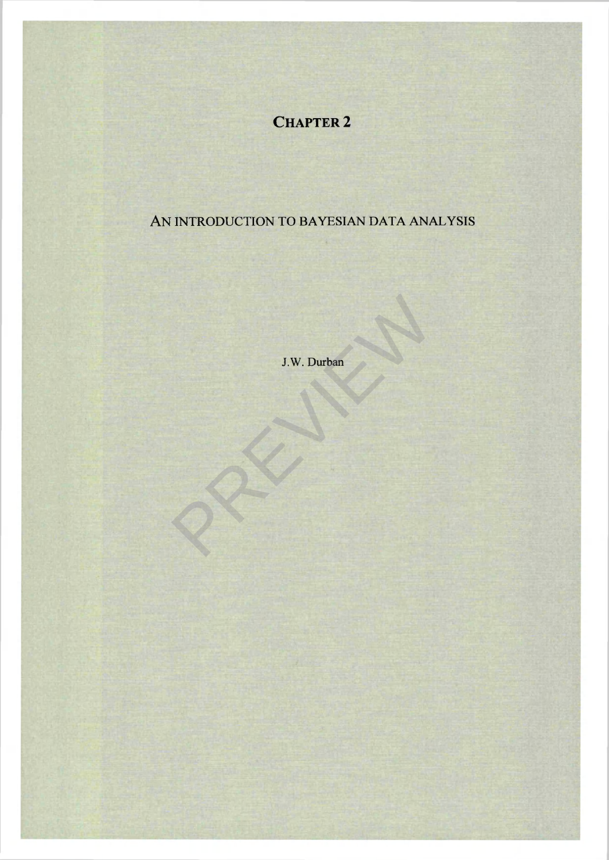# **CHAPTER 2**

# AN INTRODUCTION TO BAYESIAN DATA ANALYSIS

J.W. Durban J.W. Durban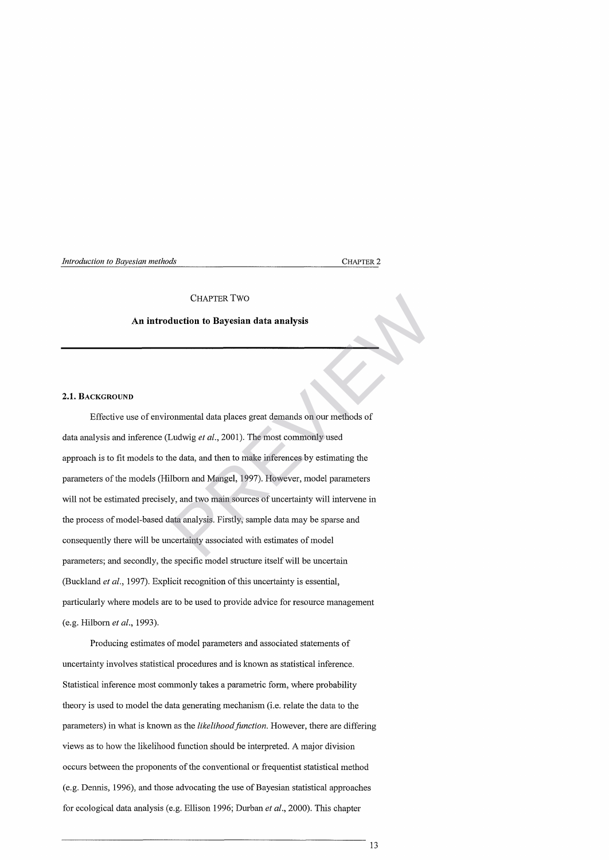*Introduction to Bayesian methods* CHAPTER 2

#### CHAPTER TWO

### **An introduction to Bayesian data analysis**

## **2.1. BACKGROUND**

Effective use of environmental data places great demands on our methods of data analysis and inference (Ludwig *et al.,* 2001). The most commonly used approach is to fit models to the data, and then to make inferences by estimating the parameters of the models (Hilborn and Mangel, 1997). However, model parameters will not be estimated precisely, and two main sources of uncertainty will intervene in the process of model-based data analysis. Firstly, sample data may be sparse and consequently there will be uncertainty associated with estimates of model parameters; and secondly, the specific model structure itself will be uncertain (Buckland *et al.,* 1997). Explicit recognition of this uncertainty is essential, particularly where models are to be used to provide advice for resource management (e.g. Hilborn *et al.,* 1993). CHAPTER TWO<br> **luction to Bayesian data analysis**<br>
commental data places great demands on our methods of<br>
Ludwig *et al.*, 2001). The most commonly used<br>
ne data, and then to make inferences by estimating the<br>
lborn and Man

Producing estimates of model parameters and associated statements of uncertainty involves statistical procedures and is known as statistical inference. Statistical inference most commonly takes a parametric form, where probability theory is used to model the data generating mechanism (i.e. relate the data to the parameters) in what is known as the *likelihood function.* However, there are differing views as to how the likelihood function should be interpreted. A major division occurs between the proponents of the conventional or frequentist statistical method (e.g. Dennis, 1996), and those advocating the use of Bayesian statistical approaches for ecological data analysis (e.g. Ellison 1996; Durban *et al.,* 2000). This chapter